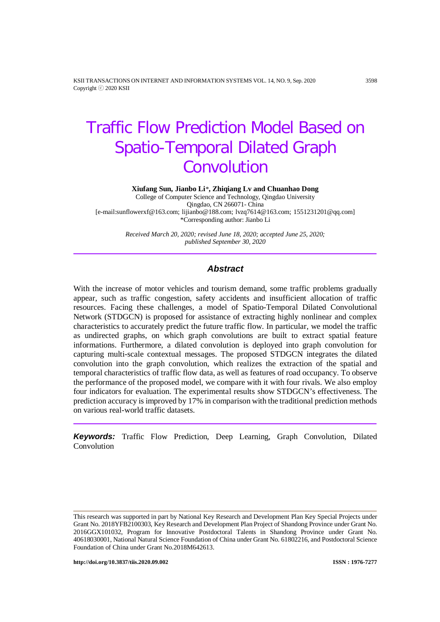KSII TRANSACTIONS ON INTERNET AND INFORMATION SYSTEMS VOL. 14, NO. 9, Sep. 2020 3598 Copyright ⓒ 2020 KSII

# Traffic Flow Prediction Model Based on Spatio-Temporal Dilated Graph Convolution

**Xiufang Sun, Jianbo Li***\****, Zhiqiang Lv and Chuanhao Dong**

College of Computer Science and Technology, Qingdao University Qingdao, CN 266071- China [e-mail:sunflowerxf@163.com; lijianbo@188.com; lvzq7614@163.com; 1551231201@qq.com] \*Corresponding author: Jianbo Li

> *Received March 20, 2020; revised June 18, 2020; accepted June 25, 2020; published September 30, 2020*

## *Abstract*

With the increase of motor vehicles and tourism demand, some traffic problems gradually appear, such as traffic congestion, safety accidents and insufficient allocation of traffic resources. Facing these challenges, a model of Spatio-Temporal Dilated Convolutional Network (STDGCN) is proposed for assistance of extracting highly nonlinear and complex characteristics to accurately predict the future traffic flow. In particular, we model the traffic as undirected graphs, on which graph convolutions are built to extract spatial feature informations. Furthermore, a dilated convolution is deployed into graph convolution for capturing multi-scale contextual messages. The proposed STDGCN integrates the dilated convolution into the graph convolution, which realizes the extraction of the spatial and temporal characteristics of traffic flow data, as well as features of road occupancy. To observe the performance of the proposed model, we compare with it with four rivals. We also employ four indicators for evaluation. The experimental results show STDGCN's effectiveness. The prediction accuracy is improved by 17% in comparison with the traditional prediction methods on various real-world traffic datasets.

*Keywords:* Traffic Flow Prediction, Deep Learning, Graph Convolution, Dilated Convolution

This research was supported in part by National Key Research and Development Plan Key Special Projects under Grant No. 2018YFB2100303, Key Research and Development Plan Project of Shandong Province under Grant No. 2016GGX101032, Program for Innovative Postdoctoral Talents in Shandong Province under Grant No. 40618030001, National Natural Science Foundation of China under Grant No. 61802216, and Postdoctoral Science Foundation of China under Grant No.2018M642613.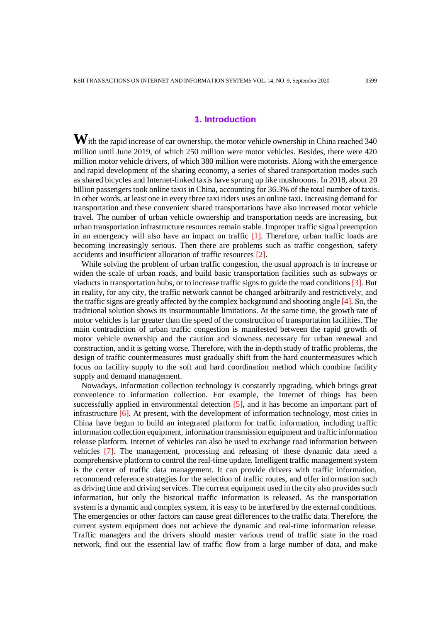## **1. Introduction**

**W**ith the rapid increase of car ownership, the motor vehicle ownership in China reached 340 million until June 2019, of which 250 million were motor vehicles. Besides, there were 420 million motor vehicle drivers, of which 380 million were motorists. Along with the emergence and rapid development of the sharing economy, a series of shared transportation modes such as shared bicycles and Internet-linked taxis have sprung up like mushrooms. In 2018, about 20 billion passengers took online taxis in China, accounting for 36.3% of the total number of taxis. In other words, at least one in every three taxi riders uses an online taxi. Increasing demand for transportation and these convenient shared transportations have also increased motor vehicle travel. The number of urban vehicle ownership and transportation needs are increasing, but urban transportation infrastructure resources remain stable. Improper traffic signal preemption in an emergency will also have an impact on traffic [1]. Therefore, urban traffic loads are becoming increasingly serious. Then there are problems such as traffic congestion, safety accidents and insufficient allocation of traffic resources [2].

While solving the problem of urban traffic congestion, the usual approach is to increase or widen the scale of urban roads, and build basic transportation facilities such as subways or viaducts in transportation hubs, or to increase traffic signs to guide the road conditions [3]. But in reality, for any city, the traffic network cannot be changed arbitrarily and restrictively, and the traffic signs are greatly affected by the complex background and shooting angle [4]. So, the traditional solution shows its insurmountable limitations. At the same time, the growth rate of motor vehicles is far greater than the speed of the construction of transportation facilities. The main contradiction of urban traffic congestion is manifested between the rapid growth of motor vehicle ownership and the caution and slowness necessary for urban renewal and construction, and it is getting worse. Therefore, with the in-depth study of traffic problems, the design of traffic countermeasures must gradually shift from the hard countermeasures which focus on facility supply to the soft and hard coordination method which combine facility supply and demand management.

Nowadays, information collection technology is constantly upgrading, which brings great convenience to information collection. For example, the Internet of things has been successfully applied in environmental detection [5], and it has become an important part of infrastructure  $[6]$ . At present, with the development of information technology, most cities in China have begun to build an integrated platform for traffic information, including traffic information collection equipment, information transmission equipment and traffic information release platform. Internet of vehicles can also be used to exchange road information between vehicles [7]. The management, processing and releasing of these dynamic data need a comprehensive platform to control the real-time update. Intelligent traffic management system is the center of traffic data management. It can provide drivers with traffic information, recommend reference strategies for the selection of traffic routes, and offer information such as driving time and driving services. The current equipment used in the city also provides such information, but only the historical traffic information is released. As the transportation system is a dynamic and complex system, it is easy to be interfered by the external conditions. The emergencies or other factors can cause great differences to the traffic data. Therefore, the current system equipment does not achieve the dynamic and real-time information release. Traffic managers and the drivers should master various trend of traffic state in the road network, find out the essential law of traffic flow from a large number of data, and make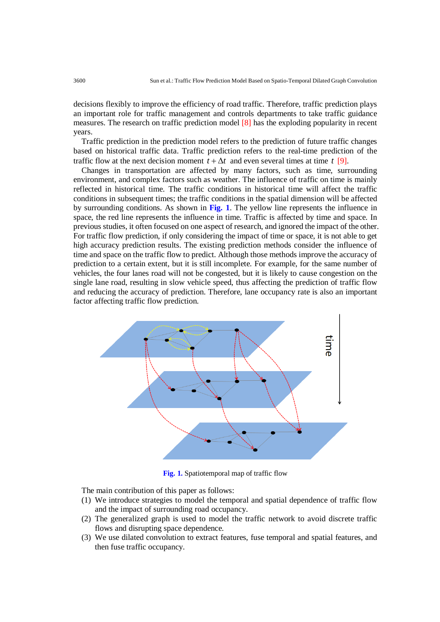decisions flexibly to improve the efficiency of road traffic. Therefore, traffic prediction plays an important role for traffic management and controls departments to take traffic guidance measures. The research on traffic prediction model [8] has the exploding popularity in recent years.

Traffic prediction in the prediction model refers to the prediction of future traffic changes based on historical traffic data. Traffic prediction refers to the real-time prediction of the traffic flow at the next decision moment  $t + \Delta t$  and even several times at time  $t$  [9].

Changes in transportation are affected by many factors, such as time, surrounding environment, and complex factors such as weather. The influence of traffic on time is mainly reflected in historical time. The traffic conditions in historical time will affect the traffic conditions in subsequent times; the traffic conditions in the spatial dimension will be affected by surrounding conditions. As shown in **Fig. 1**. The yellow line represents the influence in space, the red line represents the influence in time. Traffic is affected by time and space. In previous studies, it often focused on one aspect of research, and ignored the impact of the other. For traffic flow prediction, if only considering the impact of time or space, it is not able to get high accuracy prediction results. The existing prediction methods consider the influence of time and space on the traffic flow to predict. Although those methods improve the accuracy of prediction to a certain extent, but it is still incomplete. For example, for the same number of vehicles, the four lanes road will not be congested, but it is likely to cause congestion on the single lane road, resulting in slow vehicle speed, thus affecting the prediction of traffic flow and reducing the accuracy of prediction. Therefore, lane occupancy rate is also an important factor affecting traffic flow prediction.



**Fig. 1.** Spatiotemporal map of traffic flow

The main contribution of this paper as follows:

- (1) We introduce strategies to model the temporal and spatial dependence of traffic flow and the impact of surrounding road occupancy.
- (2) The generalized graph is used to model the traffic network to avoid discrete traffic flows and disrupting space dependence.
- (3) We use dilated convolution to extract features, fuse temporal and spatial features, and then fuse traffic occupancy.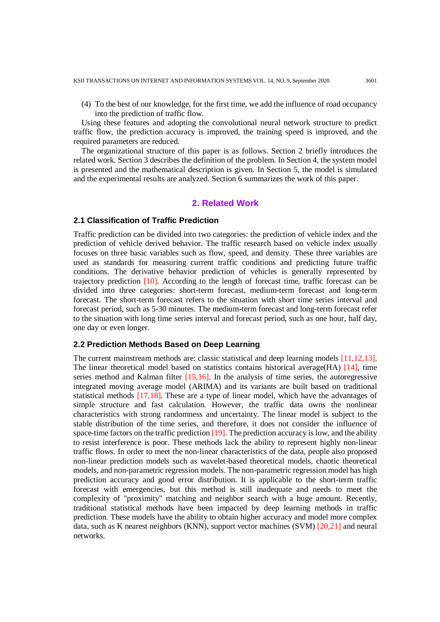(4) To the best of our knowledge, for the first time, we add the influence of road occupancy into the prediction of traffic flow.

Using these features and adopting the convolutional neural network structure to predict traffic flow, the prediction accuracy is improved, the training speed is improved, and the required parameters are reduced.

The organizational structure of this paper is as follows. Section 2 briefly introduces the related work. Section 3 describes the definition of the problem. In Section 4, the system model is presented and the mathematical description is given. In Section 5, the model is simulated and the experimental results are analyzed. Section 6 summarizes the work of this paper.

## **2. Related Work**

## **2.1 Classification of Traffic Prediction**

Traffic prediction can be divided into two categories: the prediction of vehicle index and the prediction of vehicle derived behavior. The traffic research based on vehicle index usually focuses on three basic variables such as flow, speed, and density. These three variables are used as standards for measuring current traffic conditions and predicting future traffic conditions. The derivative behavior prediction of vehicles is generally represented by trajectory prediction [10]. According to the length of forecast time, traffic forecast can be divided into three categories: short-term forecast, medium-term forecast and long-term forecast. The short-term forecast refers to the situation with short time series interval and forecast period, such as 5-30 minutes. The medium-term forecast and long-term forecast refer to the situation with long time series interval and forecast period, such as one hour, half day, one day or even longer.

## **2.2 Prediction Methods Based on Deep Learning**

The current mainstream methods are: classic statistical and deep learning models [11,12,13]. The linear theoretical model based on statistics contains historical average(HA) [14], time series method and Kalman filter [15,16]. In the analysis of time series, the autoregressive integrated moving average model (ARIMA) and its variants are built based on traditional statistical methods [17,18]. These are a type of linear model, which have the advantages of simple structure and fast calculation. However, the traffic data owns the nonlinear characteristics with strong randomness and uncertainty. The linear model is subject to the stable distribution of the time series, and therefore, it does not consider the influence of space-time factors on the traffic prediction  $[19]$ . The prediction accuracy is low, and the ability to resist interference is poor. These methods lack the ability to represent highly non-linear traffic flows. In order to meet the non-linear characteristics of the data, people also proposed non-linear prediction models such as wavelet-based theoretical models, chaotic theoretical models, and non-parametric regression models. The non-parametric regression model has high prediction accuracy and good error distribution. It is applicable to the short-term traffic forecast with emergencies, but this method is still inadequate and needs to meet the complexity of "proximity" matching and neighbor search with a huge amount. Recently, traditional statistical methods have been impacted by deep learning methods in traffic prediction. These models have the ability to obtain higher accuracy and model more complex data, such as K nearest neighbors (KNN), support vector machines (SVM) [20,21] and neural networks.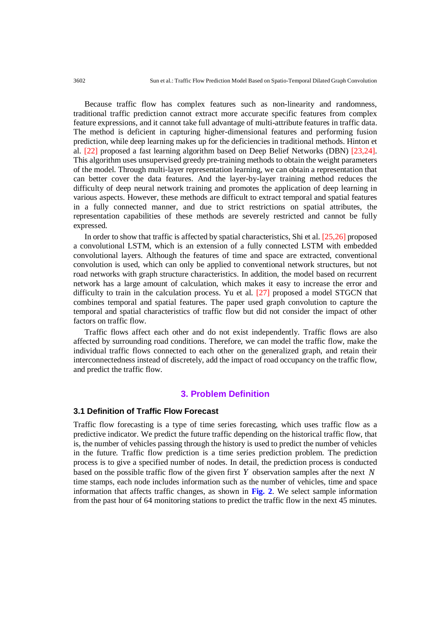3602 Sun et al.: Traffic Flow Prediction Model Based on Spatio-Temporal Dilated Graph Convolution

Because traffic flow has complex features such as non-linearity and randomness, traditional traffic prediction cannot extract more accurate specific features from complex feature expressions, and it cannot take full advantage of multi-attribute features in traffic data. The method is deficient in capturing higher-dimensional features and performing fusion prediction, while deep learning makes up for the deficiencies in traditional methods. Hinton et al. [22] proposed a fast learning algorithm based on Deep Belief Networks (DBN) [23,24]. This algorithm uses unsupervised greedy pre-training methods to obtain the weight parameters of the model. Through multi-layer representation learning, we can obtain a representation that can better cover the data features. And the layer-by-layer training method reduces the difficulty of deep neural network training and promotes the application of deep learning in various aspects. However, these methods are difficult to extract temporal and spatial features in a fully connected manner, and due to strict restrictions on spatial attributes, the representation capabilities of these methods are severely restricted and cannot be fully expressed.

In order to show that traffic is affected by spatial characteristics, Shi et al. [25,26] proposed a convolutional LSTM, which is an extension of a fully connected LSTM with embedded convolutional layers. Although the features of time and space are extracted, conventional convolution is used, which can only be applied to conventional network structures, but not road networks with graph structure characteristics. In addition, the model based on recurrent network has a large amount of calculation, which makes it easy to increase the error and difficulty to train in the calculation process. Yu et al. [27] proposed a model STGCN that combines temporal and spatial features. The paper used graph convolution to capture the temporal and spatial characteristics of traffic flow but did not consider the impact of other factors on traffic flow.

Traffic flows affect each other and do not exist independently. Traffic flows are also affected by surrounding road conditions. Therefore, we can model the traffic flow, make the individual traffic flows connected to each other on the generalized graph, and retain their interconnectedness instead of discretely, add the impact of road occupancy on the traffic flow, and predict the traffic flow.

# **3. Problem Definition**

## **3.1 Definition of Traffic Flow Forecast**

Traffic flow forecasting is a type of time series forecasting, which uses traffic flow as a predictive indicator. We predict the future traffic depending on the historical traffic flow, that is, the number of vehicles passing through the history is used to predict the number of vehicles in the future. Traffic flow prediction is a time series prediction problem. The prediction process is to give a specified number of nodes. In detail, the prediction process is conducted based on the possible traffic flow of the given first *Y* observation samples after the next *N* time stamps, each node includes information such as the number of vehicles, time and space information that affects traffic changes, as shown in **Fig. 2**. We select sample information from the past hour of 64 monitoring stations to predict the traffic flow in the next 45 minutes.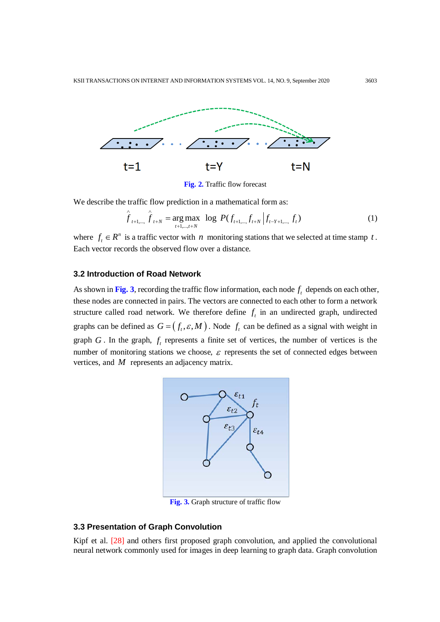

**Fig. 2.** Traffic flow forecast

We describe the traffic flow prediction in a mathematical form as:

$$
\hat{f}_{t+1,\dots,\hat{f}_{t+N}} = \underset{t+1,\dots,t+N}{\arg \max} \ \log \ P(f_{t+1,\dots,f_{t+N}} \left| f_{t-Y+1,\dots,f_t} \right) \tag{1}
$$

where  $f_t \in R^n$  is a traffic vector with *n* monitoring stations that we selected at time stamp *t*. Each vector records the observed flow over a distance.

## **3.2 Introduction of Road Network**

As shown in Fig. 3, recording the traffic flow information, each node  $f_t$  depends on each other, these nodes are connected in pairs. The vectors are connected to each other to form a network structure called road network. We therefore define  $f_t$  in an undirected graph, undirected graphs can be defined as  $G = (f_t, \varepsilon, M)$ . Node  $f_t$  can be defined as a signal with weight in graph  $G$ . In the graph,  $f_t$  represents a finite set of vertices, the number of vertices is the number of monitoring stations we choose,  $\varepsilon$  represents the set of connected edges between vertices, and *M* represents an adjacency matrix.



**Fig. 3.** Graph structure of traffic flow

## **3.3 Presentation of Graph Convolution**

Kipf et al. [28] and others first proposed graph convolution, and applied the convolutional neural network commonly used for images in deep learning to graph data. Graph convolution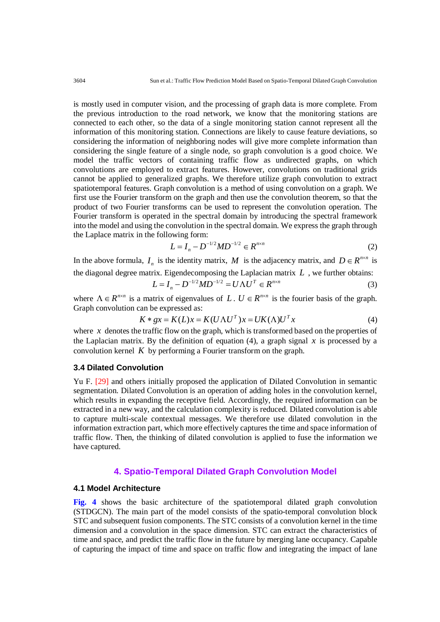is mostly used in computer vision, and the processing of graph data is more complete. From the previous introduction to the road network, we know that the monitoring stations are connected to each other, so the data of a single monitoring station cannot represent all the information of this monitoring station. Connections are likely to cause feature deviations, so considering the information of neighboring nodes will give more complete information than considering the single feature of a single node, so graph convolution is a good choice. We model the traffic vectors of containing traffic flow as undirected graphs, on which convolutions are employed to extract features. However, convolutions on traditional grids cannot be applied to generalized graphs. We therefore utilize graph convolution to extract spatiotemporal features. Graph convolution is a method of using convolution on a graph. We first use the Fourier transform on the graph and then use the convolution theorem, so that the product of two Fourier transforms can be used to represent the convolution operation. The Fourier transform is operated in the spectral domain by introducing the spectral framework into the model and using the convolution in the spectral domain. We express the graph through the Laplace matrix in the following form:

$$
L = I_n - D^{-1/2} M D^{-1/2} \in R^{n \times n}
$$
 (2)

In the above formula,  $I_n$  is the identity matrix, *M* is the adjacency matrix, and  $D \in R^{n \times n}$  is the diagonal degree matrix. Eigendecomposing the Laplacian matrix *L* , we further obtains:

$$
L = I_n - D^{-1/2} M D^{-1/2} = U \Lambda U^T \in R^{n \times n}
$$
 (3)

where  $\Lambda \in R^{n \times n}$  is a matrix of eigenvalues of *L*.  $U \in R^{n \times n}$  is the fourier basis of the graph. Graph convolution can be expressed as:

$$
K * gx = K(L)x = K(U\Lambda U^T)x = UK(\Lambda)U^T x \tag{4}
$$

where  $\bar{x}$  denotes the traffic flow on the graph, which is transformed based on the properties of the Laplacian matrix. By the definition of equation (4), a graph signal  $x$  is processed by a convolution kernel *K* by performing a Fourier transform on the graph.

## **3.4 Dilated Convolution**

Yu F. [29] and others initially proposed the application of Dilated Convolution in semantic segmentation. Dilated Convolution is an operation of adding holes in the convolution kernel, which results in expanding the receptive field. Accordingly, the required information can be extracted in a new way, and the calculation complexity is reduced. Dilated convolution is able to capture multi-scale contextual messages. We therefore use dilated convolution in the information extraction part, which more effectively captures the time and space information of traffic flow. Then, the thinking of dilated convolution is applied to fuse the information we have captured.

## **4. Spatio-Temporal Dilated Graph Convolution Model**

# **4.1 Model Architecture**

**Fig. 4** shows the basic architecture of the spatiotemporal dilated graph convolution (STDGCN). The main part of the model consists of the spatio-temporal convolution block STC and subsequent fusion components. The STC consists of a convolution kernel in the time dimension and a convolution in the space dimension. STC can extract the characteristics of time and space, and predict the traffic flow in the future by merging lane occupancy. Capable of capturing the impact of time and space on traffic flow and integrating the impact of lane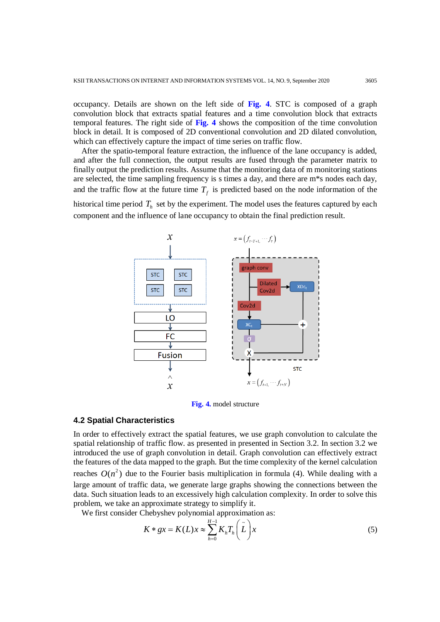occupancy. Details are shown on the left side of **Fig. 4**. STC is composed of a graph convolution block that extracts spatial features and a time convolution block that extracts temporal features. The right side of **Fig. 4** shows the composition of the time convolution block in detail. It is composed of 2D conventional convolution and 2D dilated convolution, which can effectively capture the impact of time series on traffic flow.

After the spatio-temporal feature extraction, the influence of the lane occupancy is added, and after the full connection, the output results are fused through the parameter matrix to finally output the prediction results. Assume that the monitoring data of m monitoring stations are selected, the time sampling frequency is s times a day, and there are m\*s nodes each day, and the traffic flow at the future time  $T<sub>f</sub>$  is predicted based on the node information of the

historical time period  $T<sub>h</sub>$  set by the experiment. The model uses the features captured by each component and the influence of lane occupancy to obtain the final prediction result.



**Fig. 4.** model structure

## **4.2 Spatial Characteristics**

In order to effectively extract the spatial features, we use graph convolution to calculate the spatial relationship of traffic flow. as presented in presented in Section 3.2. In section 3.2 we introduced the use of graph convolution in detail. Graph convolution can effectively extract the features of the data mapped to the graph. But the time complexity of the kernel calculation reaches  $O(n^2)$  due to the Fourier basis multiplication in formula (4). While dealing with a large amount of traffic data, we generate large graphs showing the connections between the data. Such situation leads to an excessively high calculation complexity. In order to solve this problem, we take an approximate strategy to simplify it.

We first consider Chebyshev polynomial approximation as:

$$
K * gx = K(L)x \approx \sum_{h=0}^{H-1} K_h T_h\left(\tilde{L}\right)x
$$
\n(5)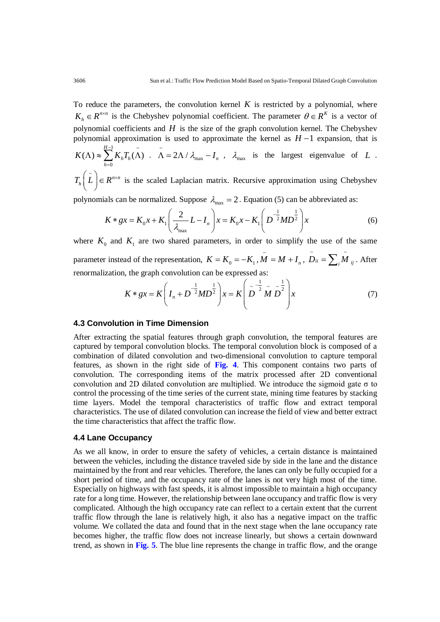To reduce the parameters, the convolution kernel  $K$  is restricted by a polynomial, where  $K_h \in R^{n \times n}$  is the Chebyshev polynomial coefficient. The parameter  $\theta \in R^K$  is a vector of polynomial coefficients and  $H$  is the size of the graph convolution kernel. The Chebyshev polynomial approximation is used to approximate the kernel as *H* −1 expansion, that is *H* −

$$
K(\Lambda) \approx \sum_{h=0}^{H-1} K_h T_h(\tilde{\Lambda}) \quad \tilde{\Lambda} = 2\Lambda / \lambda_{\text{max}} - I_n \quad \text{and} \quad \text{the largest eigenvalue of } L \quad .
$$

 $T_h\left(\tilde{L}\right) \in R^{n \times n}$  is the scaled Laplacian matrix. Recursive approximation using Chebyshev

polynomials can be normalized. Suppose  $\lambda_{\text{max}} = 2$ . Equation (5) can be abbreviated as:

$$
K * gx = K_0 x + K_1 \left(\frac{2}{\lambda_{\text{max}}} L - I_n\right) x = K_0 x - K_1 \left(D^{-\frac{1}{2}} M D^{\frac{1}{2}}\right) x
$$
 (6)

where  $K_0$  and  $K_1$  are two shared parameters, in order to simplify the use of the same parameter instead of the representation,  $K = K_0 = -K_1$ ,  $\tilde{M} = M + I_n$ ,  $\tilde{D}_{ii} = \sum_i \tilde{M}_i$  $D_{ii} = \sum_i M_{ij}$  . After renormalization, the graph convolution can be expressed as:

$$
K * gx = K \left( I_n + D^{-\frac{1}{2}} M D^{\frac{1}{2}} \right) x = K \left( \tilde{D}^{-\frac{1}{2}} \tilde{M} \tilde{D}^{\frac{1}{2}} \right) x \tag{7}
$$

## **4.3 Convolution in Time Dimension**

After extracting the spatial features through graph convolution, the temporal features are captured by temporal convolution blocks. The temporal convolution block is composed of a combination of dilated convolution and two-dimensional convolution to capture temporal features, as shown in the right side of **Fig. 4**. This component contains two parts of convolution. The corresponding items of the matrix processed after 2D conventional convolution and 2D dilated convolution are multiplied. We introduce the sigmoid gate  $\sigma$  to control the processing of the time series of the current state, mining time features by stacking time layers. Model the temporal characteristics of traffic flow and extract temporal characteristics. The use of dilated convolution can increase the field of view and better extract the time characteristics that affect the traffic flow.

#### **4.4 Lane Occupancy**

As we all know, in order to ensure the safety of vehicles, a certain distance is maintained between the vehicles, including the distance traveled side by side in the lane and the distance maintained by the front and rear vehicles. Therefore, the lanes can only be fully occupied for a short period of time, and the occupancy rate of the lanes is not very high most of the time. Especially on highways with fast speeds, it is almost impossible to maintain a high occupancy rate for a long time. However, the relationship between lane occupancy and traffic flow is very complicated. Although the high occupancy rate can reflect to a certain extent that the current traffic flow through the lane is relatively high, it also has a negative impact on the traffic volume. We collated the data and found that in the next stage when the lane occupancy rate becomes higher, the traffic flow does not increase linearly, but shows a certain downward trend, as shown in **Fig. 5**. The blue line represents the change in traffic flow, and the orange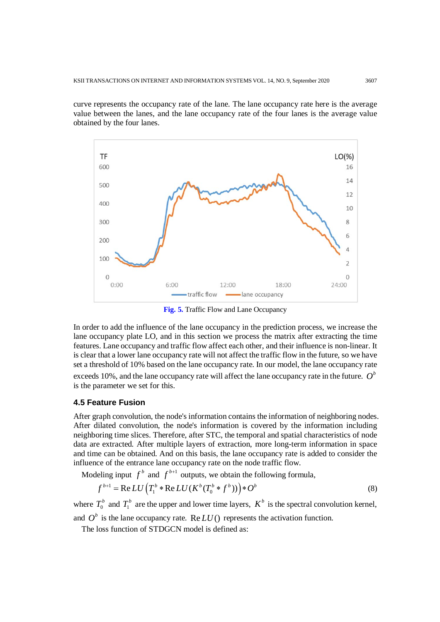curve represents the occupancy rate of the lane. The lane occupancy rate here is the average value between the lanes, and the lane occupancy rate of the four lanes is the average value obtained by the four lanes.



**Fig. 5.** Traffic Flow and Lane Occupancy

In order to add the influence of the lane occupancy in the prediction process, we increase the lane occupancy plate LO, and in this section we process the matrix after extracting the time features. Lane occupancy and traffic flow affect each other, and their influence is non-linear. It is clear that a lower lane occupancy rate will not affect the traffic flow in the future, so we have set a threshold of 10% based on the lane occupancy rate. In our model, the lane occupancy rate exceeds 10%, and the lane occupancy rate will affect the lane occupancy rate in the future.  $O<sup>b</sup>$ is the parameter we set for this.

## **4.5 Feature Fusion**

After graph convolution, the node's information contains the information of neighboring nodes. After dilated convolution, the node's information is covered by the information including neighboring time slices. Therefore, after STC, the temporal and spatial characteristics of node data are extracted. After multiple layers of extraction, more long-term information in space and time can be obtained. And on this basis, the lane occupancy rate is added to consider the influence of the entrance lane occupancy rate on the node traffic flow.

Modeling input  $f^b$  and  $f^{b+1}$  outputs, we obtain the following formula,

$$
f^{b+1} = \text{Re}\,LU\left(T_1^b * \text{Re}\,LU(K^b(T_0^b * f^b))\right) * O^b\tag{8}
$$

where  $T_0^b$  and  $T_1^b$  are the upper and lower time layers,  $K^b$  is the spectral convolution kernel,

and  $O^b$  is the lane occupancy rate. Re  $LU$  p represents the activation function.

The loss function of STDGCN model is defined as: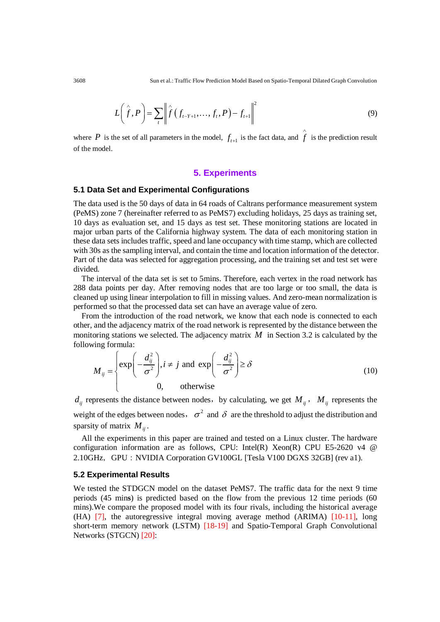$$
L\left(\hat{f},P\right) = \sum_{t} \left\| \hat{f}\left(f_{t-Y+1},\ldots,f_{t},P\right) - f_{t+1} \right\|^{2} \tag{9}
$$

where *P* is the set of all parameters in the model,  $f_{t+1}$  is the fact data, and  $\hat{f}$ is the prediction result of the model.

## **5. Experiments**

## **5.1 Data Set and Experimental Configurations**

The data used is the 50 days of data in 64 roads of Caltrans performance measurement system (PeMS) zone 7 (hereinafter referred to as PeMS7) excluding holidays, 25 days as training set, 10 days as evaluation set, and 15 days as test set. These monitoring stations are located in major urban parts of the California highway system. The data of each monitoring station in these data sets includes traffic, speed and lane occupancy with time stamp, which are collected with 30s as the sampling interval, and contain the time and location information of the detector. Part of the data was selected for aggregation processing, and the training set and test set were divided.

The interval of the data set is set to 5mins. Therefore, each vertex in the road network has 288 data points per day. After removing nodes that are too large or too small, the data is cleaned up using linear interpolation to fill in missing values. And zero-mean normalization is performed so that the processed data set can have an average value of zero.

From the introduction of the road network, we know that each node is connected to each other, and the adjacency matrix of the road network is represented by the distance between the monitoring stations we selected. The adjacency matrix  $M$  in Section 3.2 is calculated by the following formula:

$$
M_{ij} = \begin{cases} \exp\left(-\frac{d_{ij}^2}{\sigma^2}\right), i \neq j \text{ and } \exp\left(-\frac{d_{ij}^2}{\sigma^2}\right) \ge \delta\\ 0, \qquad \text{otherwise} \end{cases}
$$
(10)

 $d_{ij}$  represents the distance between nodes, by calculating, we get  $M_{ij}$ ,  $M_{ij}$  represents the weight of the edges between nodes,  $\sigma^2$  and  $\delta$  are the threshold to adjust the distribution and sparsity of matrix  $M_{ii}$ .

All the experiments in this paper are trained and tested on a Linux cluster. The hardware configuration information are as follows, CPU: Intel(R) Xeon(R) CPU E5-2620 v4  $\omega$ 2.10GHz,GPU:NVIDIA Corporation GV100GL [Tesla V100 DGXS 32GB] (rev a1).

#### **5.2 Experimental Results**

We tested the STDGCN model on the dataset PeMS7. The traffic data for the next 9 time periods (45 min**s**) is predicted based on the flow from the previous 12 time periods (60 mins).We compare the proposed model with its four rivals, including the historical average (HA) [7], the autoregressive integral moving average method (ARIMA) [10-11], long short-term memory network (LSTM) [18-19] and Spatio-Temporal Graph Convolutional Networks (STGCN) [20]: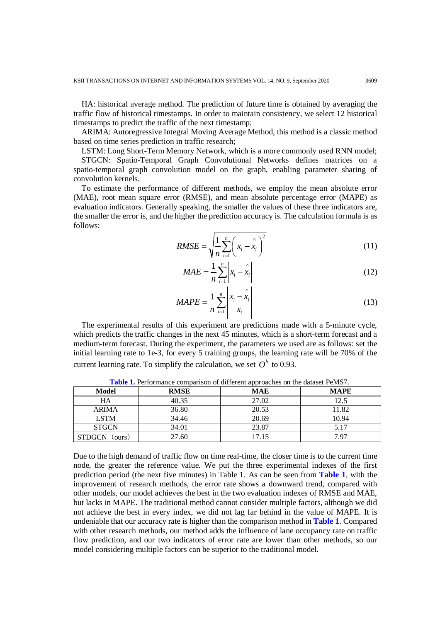HA: historical average method. The prediction of future time is obtained by averaging the traffic flow of historical timestamps. In order to maintain consistency, we select 12 historical timestamps to predict the traffic of the next timestamp;

ARIMA: Autoregressive Integral Moving Average Method, this method is a classic method based on time series prediction in traffic research;

LSTM: Long Short-Term Memory Network, which is a more commonly used RNN model; STGCN: Spatio-Temporal Graph Convolutional Networks defines matrices on a

spatio-temporal graph convolution model on the graph, enabling parameter sharing of convolution kernels.

To estimate the performance of different methods, we employ the mean absolute error (MAE), root mean square error (RMSE), and mean absolute percentage error (MAPE) as evaluation indicators. Generally speaking, the smaller the values of these three indicators are, the smaller the error is, and the higher the prediction accuracy is. The calculation formula is as follows:

$$
RMSE = \sqrt{\frac{1}{n} \sum_{i=1}^{n} \left( x_i - x_i \right)^2}
$$
 (11)

$$
MAE = \frac{1}{n} \sum_{i=1}^{n} \left| x_i - \hat{x}_i \right| \tag{12}
$$

$$
MAPE = \frac{1}{n} \sum_{i=1}^{n} \left| \frac{x_i - \hat{x}_i}{x_i} \right| \tag{13}
$$

The experimental results of this experiment are predictions made with a 5-minute cycle, which predicts the traffic changes in the next 45 minutes, which is a short-term forecast and a medium-term forecast. During the experiment, the parameters we used are as follows: set the initial learning rate to 1e-3, for every 5 training groups, the learning rate will be 70% of the current learning rate. To simplify the calculation, we set  $O^b$  to 0.93.

| <b>Model</b>            | <b>RMSE</b> | <b>MAE</b> | <b>MAPE</b> |
|-------------------------|-------------|------------|-------------|
| HA                      | 40.35       | 27.02      | 12.5        |
| <b>ARIMA</b>            | 36.80       | 20.53      | 11.82       |
| <b>LSTM</b>             | 34.46       | 20.69      | 10.94       |
| <b>STGCN</b>            | 34.01       | 23.87      | 5.17        |
| <b>STDGCN</b><br>ours). | 27.60       | 17.15      | 7.97        |

**Table 1.** Performance comparison of different approaches on the dataset PeMS7.

Due to the high demand of traffic flow on time real-time, the closer time is to the current time node, the greater the reference value. We put the three experimental indexes of the first prediction period (the next five minutes) in Table 1. As can be seen from **Table 1**, with the improvement of research methods, the error rate shows a downward trend, compared with other models, our model achieves the best in the two evaluation indexes of RMSE and MAE, but lacks in MAPE. The traditional method cannot consider multiple factors, although we did not achieve the best in every index, we did not lag far behind in the value of MAPE. It is undeniable that our accuracy rate is higher than the comparison method in **Table 1**. Compared with other research methods, our method adds the influence of lane occupancy rate on traffic flow prediction, and our two indicators of error rate are lower than other methods, so our model considering multiple factors can be superior to the traditional model.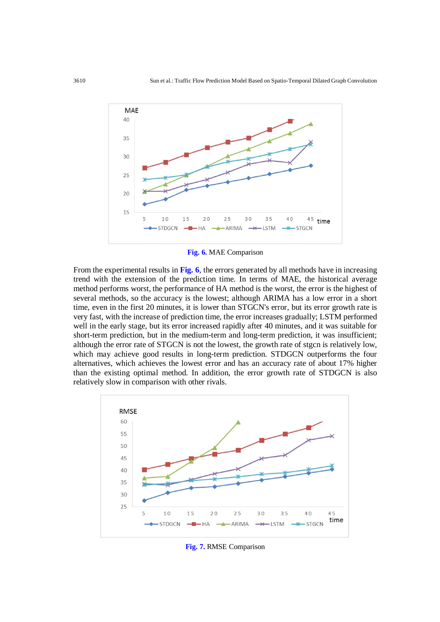

**Fig. 6.** MAE Comparison

From the experimental results in **Fig. 6**, the errors generated by all methods have in increasing trend with the extension of the prediction time. In terms of MAE, the historical average method performs worst, the performance of HA method is the worst, the error is the highest of several methods, so the accuracy is the lowest; although ARIMA has a low error in a short time, even in the first 20 minutes, it is lower than STGCN's error, but its error growth rate is very fast, with the increase of prediction time, the error increases gradually; LSTM performed well in the early stage, but its error increased rapidly after 40 minutes, and it was suitable for short-term prediction, but in the medium-term and long-term prediction, it was insufficient; although the error rate of STGCN is not the lowest, the growth rate of stgcn is relatively low, which may achieve good results in long-term prediction. STDGCN outperforms the four alternatives, which achieves the lowest error and has an accuracy rate of about 17% higher than the existing optimal method. In addition, the error growth rate of STDGCN is also relatively slow in comparison with other rivals.



**Fig. 7.** RMSE Comparison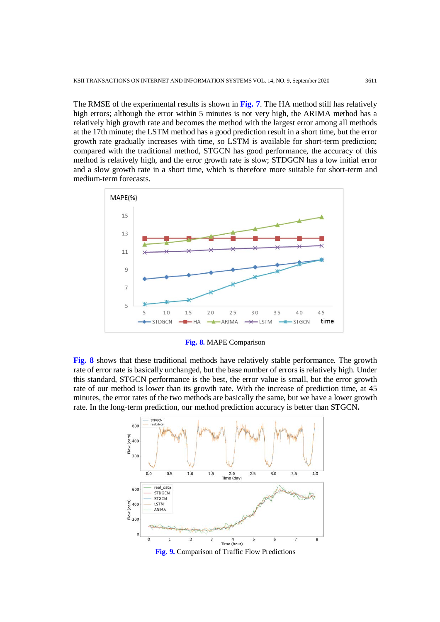The RMSE of the experimental results is shown in **Fig. 7**. The HA method still has relatively high errors; although the error within 5 minutes is not very high, the ARIMA method has a relatively high growth rate and becomes the method with the largest error among all methods at the 17th minute; the LSTM method has a good prediction result in a short time, but the error growth rate gradually increases with time, so LSTM is available for short-term prediction; compared with the traditional method, STGCN has good performance, the accuracy of this method is relatively high, and the error growth rate is slow; STDGCN has a low initial error and a slow growth rate in a short time, which is therefore more suitable for short-term and medium-term forecasts.



**Fig. 8.** MAPE Comparison

**Fig. 8** shows that these traditional methods have relatively stable performance. The growth rate of error rate is basically unchanged, but the base number of errors is relatively high. Under this standard, STGCN performance is the best, the error value is small, but the error growth rate of our method is lower than its growth rate. With the increase of prediction time, at 45 minutes, the error rates of the two methods are basically the same, but we have a lower growth rate. In the long-term prediction, our method prediction accuracy is better than STGCN**.**



**Fig. 9.** Comparison of Traffic Flow Predictions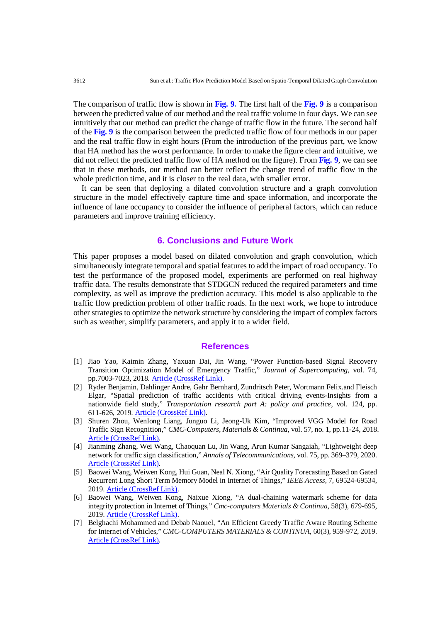The comparison of traffic flow is shown in **Fig. 9.** The first half of the **Fig. 9** is a comparison between the predicted value of our method and the real traffic volume in four days. We can see intuitively that our method can predict the change of traffic flow in the future. The second half of the **Fig. 9** is the comparison between the predicted traffic flow of four methods in our paper and the real traffic flow in eight hours (From the introduction of the previous part, we know that HA method has the worst performance. In order to make the figure clear and intuitive, we did not reflect the predicted traffic flow of HA method on the figure). From **Fig. 9**, we can see that in these methods, our method can better reflect the change trend of traffic flow in the whole prediction time, and it is closer to the real data, with smaller error.

It can be seen that deploying a dilated convolution structure and a graph convolution structure in the model effectively capture time and space information, and incorporate the influence of lane occupancy to consider the influence of peripheral factors, which can reduce parameters and improve training efficiency.

# **6. Conclusions and Future Work**

This paper proposes a model based on dilated convolution and graph convolution, which simultaneously integrate temporal and spatial features to add the impact of road occupancy. To test the performance of the proposed model, experiments are performed on real highway traffic data. The results demonstrate that STDGCN reduced the required parameters and time complexity, as well as improve the prediction accuracy. This model is also applicable to the traffic flow prediction problem of other traffic roads. In the next work, we hope to introduce other strategies to optimize the network structure by considering the impact of complex factors such as weather, simplify parameters, and apply it to a wider field.

#### **References**

- [1] Jiao Yao, Kaimin Zhang, Yaxuan Dai, Jin Wang, "Power Function-based Signal Recovery Transition Optimization Model of Emergency Traffic," *Journal of Supercomputing*, vol. 74, pp.7003-7023, 2018. [Article \(CrossRef Link\).](https://doi.org/10.1007/s11227-018-2596-y)
- [2] Ryder Benjamin, Dahlinger Andre, Gahr Bernhard, Zundritsch Peter, Wortmann Felix.and Fleisch Elgar, "Spatial prediction of traffic accidents with critical driving events-Insights from a nationwide field study," *Transportation research part A: policy and practice*, vol. 124, pp. 611-626, 2019. [Article \(CrossRef Link\).](https://doi.org/10.1016/j.tra.2018.05.007)
- [3] Shuren Zhou, Wenlong Liang, Junguo Li, Jeong-Uk Kim, "Improved VGG Model for Road Traffic Sign Recognition," *CMC-Computers, Materials & Continua*, vol. 57, no. 1, pp.11-24, 2018. [Article \(CrossRef Link\).](https://doi.org/10.32604/cmc.2018.02617)
- [4] Jianming Zhang, Wei Wang, Chaoquan Lu, Jin Wang, Arun Kumar Sangaiah, "Lightweight deep network for traffic sign classification," *Annals of Telecommunications*, vol. 75, pp. 369–379, 2020. [Article \(CrossRef Link\).](https://doi.org/10.1007/s12243-019-00731-9)
- [5] Baowei Wang, Weiwen Kong, Hui Guan, Neal N. Xiong, "Air Quality Forecasting Based on Gated Recurrent Long Short Term Memory Model in Internet of Things," *IEEE Access*, 7, 69524-69534, 2019. [Article \(CrossRef Link\).](https://doi.org/10.1109/ACCESS.2019.2917277)
- [6] Baowei Wang, Weiwen Kong, Naixue Xiong, "A dual-chaining watermark scheme for data integrity protection in Internet of Things," *Cmc-computers Materials & Continua*, 58(3), 679-695, 2019. [Article \(CrossRef Link\).](https://doi.org/10.32604/cmc.2019.06106)
- [7] Belghachi Mohammed and Debab Naouel, "An Efficient Greedy Traffic Aware Routing Scheme for Internet of Vehicles," *CMC-COMPUTERS MATERIALS & CONTINUA*, 60(3), 959-972, 2019. [Article \(CrossRef Link\).](https://doi.org/10.32604/cmc.2019.07580)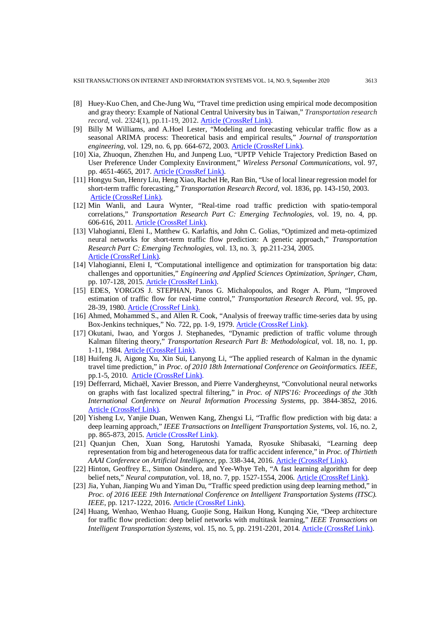- [8] Huey-Kuo Chen, and Che-Jung Wu, "Travel time prediction using empirical mode decomposition and gray theory: Example of National Central University bus in Taiwan," *Transportation research record*, vol. 2324(1), pp.11-19, 2012. [Article \(CrossRef Link\).](https://doi.org/10.3141/2324-02)
- [9] Billy M Williams, and A.Hoel Lester, "Modeling and forecasting vehicular traffic flow as a seasonal ARIMA process: Theoretical basis and empirical results," *Journal of transportation engineering*, vol. 129, no. 6, pp. 664-672, 2003. [Article \(CrossRef Link\).](https://doi.org/10.1061/(ASCE)0733-947X(2003)129:6(664))
- [10] Xia, Zhuoqun, Zhenzhen Hu, and Junpeng Luo, "UPTP Vehicle Trajectory Prediction Based on User Preference Under Complexity Environment," *Wireless Personal Communications*, vol. 97, pp. 4651-4665, 2017. [Article \(CrossRef Link\).](https://doi.org/10.1007/s11277-017-4743-9)
- [11] Hongyu Sun, Henry Liu, Heng Xiao, Rachel He, Ran Bin, "Use of local linear regression model for short-term traffic forecasting," *Transportation Research Record*, vol. 1836, pp. 143-150, 2003. [Article \(CrossRef Link\).](https://doi.org/10.3141/1836-18)
- [12] Min Wanli, and Laura Wynter, "Real-time road traffic prediction with spatio-temporal correlations," *Transportation Research Part C: Emerging Technologies*, vol. 19, no. 4, pp. 606-616, 2011. [Article \(CrossRef Link\).](https://doi.org/10.1016/j.trc.2010.10.002)
- [13] Vlahogianni, Eleni I., Matthew G. Karlaftis, and John C. Golias, "Optimized and meta-optimized neural networks for short-term traffic flow prediction: A genetic approach," *Transportation Research Part C: Emerging Technologies*, vol. 13, no. 3, pp.211-234, 2005. [Article \(CrossRef Link\).](https://doi.org/10.1016/j.trc.2005.04.007)
- [14] Vlahogianni, Eleni I, "Computational intelligence and optimization for transportation big data: challenges and opportunities," *Engineering and Applied Sciences Optimization, Springer, Cham*, pp. 107-128, 2015. [Article \(CrossRef Link\).](https://doi.org/10.1007/978-3-319-18320-6_7)
- [15] EDES, YORGOS J. STEPHAN, Panos G. Michalopoulos, and Roger A. Plum, "Improved estimation of traffic flow for real-time control," *Transportation Research Record*, vol. 95, pp. 28-39, 1980. [Article \(CrossRef Link\).](http://onlinepubs.trb.org/Onlinepubs/trr/1981/795/795-006.pdf)
- [16] Ahmed, Mohammed S., and Allen R. Cook, "Analysis of freeway traffic time-series data by using Box-Jenkins techniques," No. 722, pp. 1-9, 1979. [Article \(CrossRef Link\).](http://onlinepubs.trb.org/Onlinepubs/trr/1979/722/722-001.pdf)
- [17] Okutani, Iwao, and Yorgos J. Stephanedes, "Dynamic prediction of traffic volume through Kalman filtering theory," *Transportation Research Part B: Methodological*, vol. 18, no. 1, pp. 1-11, 1984. [Article \(CrossRef Link\).](https://doi.org/10.1016/0191-2615(84)90002-X)
- [18] Huifeng Ji, Aigong Xu, Xin Sui, Lanyong Li, "The applied research of Kalman in the dynamic travel time prediction," in *Proc. of 2010 18th International Conference on Geoinformatics. IEEE*, pp.1-5, 2010. [Article \(CrossRef Link\).](https://doi.org/10.1109/GEOINFORMATICS.2010.5567722)
- [19] Defferrard, Michaël, Xavier Bresson, and Pierre Vandergheynst, "Convolutional neural networks on graphs with fast localized spectral filtering," in *Proc. of NIPS'16: Proceedings of the 30th International Conference on Neural Information Processing Systems*, pp. 3844-3852, 2016. [Article \(CrossRef Link\).](https://dl.acm.org/doi/10.5555/3157382.3157527)
- [20] Yisheng Lv, Yanjie Duan, Wenwen Kang, Zhengxi Li, "Traffic flow prediction with big data: a deep learning approach," *IEEE Transactions on Intelligent Transportation Systems*, vol. 16, no. 2, pp. 865-873, 2015. [Article \(CrossRef Link\).](https://doi.org/10.1109/TITS.2014.2345663)
- [21] Quanjun Chen, Xuan Song, Harutoshi Yamada, Ryosuke Shibasaki, "Learning deep representation from big and heterogeneous data for traffic accident inference," in *Proc. of Thirtieth AAAI Conference on Artificial Intelligence*, pp. 338-344, 2016. [Article \(CrossRef Link\).](https://dl.acm.org/doi/10.5555/3015812.3015863)
- [22] Hinton, Geoffrey E., Simon Osindero, and Yee-Whye Teh, "A fast learning algorithm for deep belief nets," *Neural computation*, vol. 18, no. 7, pp. 1527-1554, 2006. [Article \(CrossRef Link\).](https://doi.org/10.1162/neco.2006.18.7.1527)
- [23] Jia, Yuhan, Jianping Wu and Yiman Du, "Traffic speed prediction using deep learning method," in *Proc. of 2016 IEEE 19th International Conference on Intelligent Transportation Systems (ITSC). IEEE*, pp. 1217-1222, 2016. [Article \(CrossRef Link\).](https://doi.org/10.1109/ITSC.2016.7795712)
- [24] Huang, Wenhao, Wenhao Huang, Guojie Song, Haikun Hong, Kunqing Xie, "Deep architecture for traffic flow prediction: deep belief networks with multitask learning," *IEEE Transactions on Intelligent Transportation Systems*, vol. 15, no. 5, pp. 2191-2201, 2014. [Article \(CrossRef Link\).](https://doi.org/10.1109/TITS.2014.2311123)